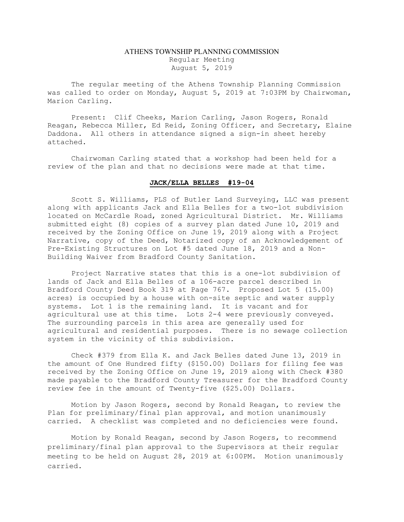## ATHENS TOWNSHIP PLANNING COMMISSION Regular Meeting August 5, 2019

The regular meeting of the Athens Township Planning Commission was called to order on Monday, August 5, 2019 at 7:03PM by Chairwoman, Marion Carling.

Present: Clif Cheeks, Marion Carling, Jason Rogers, Ronald Reagan, Rebecca Miller, Ed Reid, Zoning Officer, and Secretary, Elaine Daddona. All others in attendance signed a sign-in sheet hereby attached.

Chairwoman Carling stated that a workshop had been held for a review of the plan and that no decisions were made at that time.

## JACK/ELLA BELLES #19-04

Scott S. Williams, PLS of Butler Land Surveying, LLC was present along with applicants Jack and Ella Belles for a two-lot subdivision located on McCardle Road, zoned Agricultural District. Mr. Williams submitted eight (8) copies of a survey plan dated June 10, 2019 and received by the Zoning Office on June 19, 2019 along with a Project Narrative, copy of the Deed, Notarized copy of an Acknowledgement of Pre-Existing Structures on Lot #5 dated June 18, 2019 and a Non-Building Waiver from Bradford County Sanitation.

Project Narrative states that this is a one-lot subdivision of lands of Jack and Ella Belles of a 106-acre parcel described in Bradford County Deed Book 319 at Page 767. Proposed Lot 5 (15.00) acres) is occupied by a house with on-site septic and water supply systems. Lot 1 is the remaining land. It is vacant and for agricultural use at this time. Lots 2-4 were previously conveyed. The surrounding parcels in this area are generally used for agricultural and residential purposes. There is no sewage collection system in the vicinity of this subdivision.

Check #379 from Ella K. and Jack Belles dated June 13, 2019 in the amount of One Hundred fifty (\$150.00) Dollars for filing fee was received by the Zoning Office on June 19, 2019 along with Check #380 made payable to the Bradford County Treasurer for the Bradford County review fee in the amount of Twenty-five (\$25.00) Dollars.

Motion by Jason Rogers, second by Ronald Reagan, to review the Plan for preliminary/final plan approval, and motion unanimously carried. A checklist was completed and no deficiencies were found.

Motion by Ronald Reagan, second by Jason Rogers, to recommend preliminary/final plan approval to the Supervisors at their regular meeting to be held on August 28, 2019 at 6:00PM. Motion unanimously carried.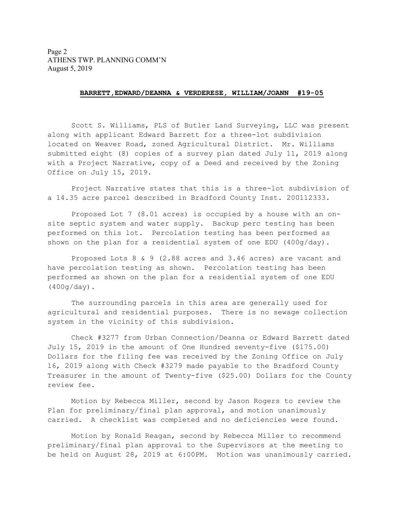## BARRETT,EDWARD/DEANNA & VERDERESE, WILLIAM/JOANN #19-05

 Scott S. Williams, PLS of Butler Land Surveying, LLC was present along with applicant Edward Barrett for a three-lot subdivision located on Weaver Road, zoned Agricultural District. Mr. Williams submitted eight (8) copies of a survey plan dated July 11, 2019 along with a Project Narrative, copy of a Deed and received by the Zoning Office on July 15, 2019.

 Project Narrative states that this is a three-lot subdivision of a 14.35 acre parcel described in Bradford County Inst. 200112333.

 Proposed Lot 7 (8.01 acres) is occupied by a house with an onsite septic system and water supply. Backup perc testing has been performed on this lot. Percolation testing has been performed as shown on the plan for a residential system of one EDU (400g/day).

 Proposed Lots 8 & 9 (2.88 acres and 3.46 acres) are vacant and have percolation testing as shown. Percolation testing has been performed as shown on the plan for a residential system of one EDU (400g/day).

 The surrounding parcels in this area are generally used for agricultural and residential purposes. There is no sewage collection system in the vicinity of this subdivision.

 Check #3277 from Urban Connection/Deanna or Edward Barrett dated July 15, 2019 in the amount of One Hundred seventy-five (\$175.00) Dollars for the filing fee was received by the Zoning Office on July 16, 2019 along with Check #3279 made payable to the Bradford County Treasurer in the amount of Twenty-five (\$25.00) Dollars for the County review fee.

 Motion by Rebecca Miller, second by Jason Rogers to review the Plan for preliminary/final plan approval, and motion unanimously carried. A checklist was completed and no deficiencies were found.

 Motion by Ronald Reagan, second by Rebecca Miller to recommend preliminary/final plan approval to the Supervisors at the meeting to be held on August 28, 2019 at 6:00PM. Motion was unanimously carried.